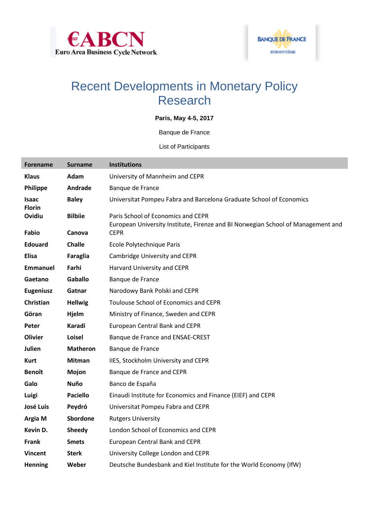



## Recent Developments in Monetary Policy Research

## **Paris, May 4-5, 2017**

Banque de France

List of Participants

| <b>Forename</b>               | <b>Surname</b>  | <b>Institutions</b>                                                                                                    |
|-------------------------------|-----------------|------------------------------------------------------------------------------------------------------------------------|
| <b>Klaus</b>                  | Adam            | University of Mannheim and CEPR                                                                                        |
| Philippe                      | Andrade         | Banque de France                                                                                                       |
| <b>Isaac</b><br><b>Florin</b> | <b>Baley</b>    | Universitat Pompeu Fabra and Barcelona Graduate School of Economics                                                    |
| Ovidiu                        | <b>Bilbiie</b>  | Paris School of Economics and CEPR<br>European University Institute, Firenze and BI Norwegian School of Management and |
| Fabio                         | Canova          | <b>CEPR</b>                                                                                                            |
| <b>Edouard</b>                | <b>Challe</b>   | Ecole Polytechnique Paris                                                                                              |
| <b>Elisa</b>                  | Faraglia        | Cambridge University and CEPR                                                                                          |
| <b>Emmanuel</b>               | Farhi           | Harvard University and CEPR                                                                                            |
| Gaetano                       | <b>Gaballo</b>  | Banque de France                                                                                                       |
| <b>Eugeniusz</b>              | Gatnar          | Narodowy Bank Polski and CEPR                                                                                          |
| Christian                     | <b>Hellwig</b>  | Toulouse School of Economics and CEPR                                                                                  |
| Göran                         | Hjelm           | Ministry of Finance, Sweden and CEPR                                                                                   |
| Peter                         | Karadi          | <b>European Central Bank and CEPR</b>                                                                                  |
| <b>Olivier</b>                | Loisel          | Banque de France and ENSAE-CREST                                                                                       |
| Julien                        | <b>Matheron</b> | Banque de France                                                                                                       |
| <b>Kurt</b>                   | <b>Mitman</b>   | IIES, Stockholm University and CEPR                                                                                    |
| <b>Benoît</b>                 | Mojon           | Banque de France and CEPR                                                                                              |
| Galo                          | Nuño            | Banco de España                                                                                                        |
| Luigi                         | <b>Paciello</b> | Einaudi Institute for Economics and Finance (EIEF) and CEPR                                                            |
| <b>José Luis</b>              | Peydró          | Universitat Pompeu Fabra and CEPR                                                                                      |
| Argia M                       | Sbordone        | <b>Rutgers University</b>                                                                                              |
| Kevin D.                      | <b>Sheedy</b>   | London School of Economics and CEPR                                                                                    |
| <b>Frank</b>                  | <b>Smets</b>    | <b>European Central Bank and CEPR</b>                                                                                  |
| <b>Vincent</b>                | <b>Sterk</b>    | University College London and CEPR                                                                                     |
| <b>Henning</b>                | Weber           | Deutsche Bundesbank and Kiel Institute for the World Economy (IfW)                                                     |